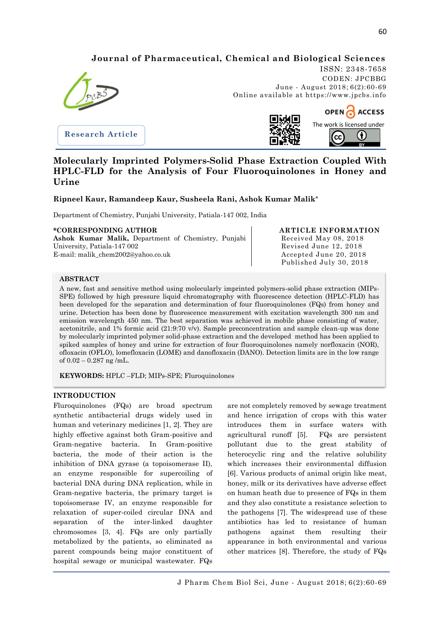# **Journal of Pharmaceutical, Chemical and Biological Sciences**



**Research Article**

ISSN: 2348-7658 CODEN: JPCBBG June - August 2018; 6(2):60-69 Online available at https://www.jpcbs.info



# **Molecularly Imprinted Polymers-Solid Phase Extraction Coupled With HPLC-FLD for the Analysis of Four Fluoroquinolones in Honey and Urine**

# **Ripneel Kaur, Ramandeep Kaur, Susheela Rani, Ashok Kumar Malik\***

Department of Chemistry, Punjabi University, Patiala-147 002, India

## **\*CORRESPONDING AUTHOR**

**Ashok Kumar Malik,** Department of Chemistry, Punjabi University, Patiala-147 002 E-mail: malik\_chem2002@yahoo.co.uk

#### **ARTICLE INFORMATION** Received May 08, 2018 Revised June 12, 2018 Accepted June 20, 2018 Published July 30, 2018

## **ABSTRACT**

A new, fast and sensitive method using molecularly imprinted polymers-solid phase extraction (MIPs-SPE) followed by high pressure liquid chromatography with fluorescence detection (HPLC-FLD) has been developed for the separation and determination of four fluoroquinolones (FQs) from honey and urine. Detection has been done by fluorescence measurement with excitation wavelength 300 nm and emission wavelength 450 nm. The best separation was achieved in mobile phase consisting of water, acetonitrile, and 1% formic acid (21:9:70 v/v). Sample preconcentration and sample clean-up was done by molecularly imprinted polymer solid-phase extraction and the developed method has been applied to spiked samples of honey and urine for extraction of four fluoroquinolones namely norfloxacin (NOR), ofloxacin (OFLO), lomefloxacin (LOME) and danofloxacin (DANO). Detection limits are in the low range of  $0.02 - 0.287$  ng /mL.

**KEYWORDS:** HPLC –FLD; MIPs-SPE; Fluroquinolones

#### **INTRODUCTION**

j

Fluroquinolones (FQs) are broad spectrum synthetic antibacterial drugs widely used in human and veterinary medicines [1, 2]. They are highly effective against both Gram-positive and Gram-negative bacteria. In Gram-positive bacteria, the mode of their action is the inhibition of DNA gyrase (a topoisomerase II), an enzyme responsible for supercoiling of bacterial DNA during DNA replication, while in Gram-negative bacteria, the primary target is topoisomerase IV, an enzyme responsible for relaxation of super-coiled circular DNA and separation of the inter-linked daughter chromosomes [3, 4]. FQs are only partially metabolized by the patients, so eliminated as parent compounds being major constituent of hospital sewage or municipal wastewater. FQs

are not completely removed by sewage treatment and hence irrigation of crops with this water introduces them in surface waters with agricultural runoff [5]. FQs are persistent pollutant due to the great stability of heterocyclic ring and the relative solubility which increases their environmental diffusion [6]. Various products of animal origin like meat, honey, milk or its derivatives have adverse effect on human heath due to presence of FQs in them and they also constitute a resistance selection to the pathogens [7]. The widespread use of these antibiotics has led to resistance of human pathogens against them resulting their appearance in both environmental and various other matrices [8]. Therefore, the study of FQs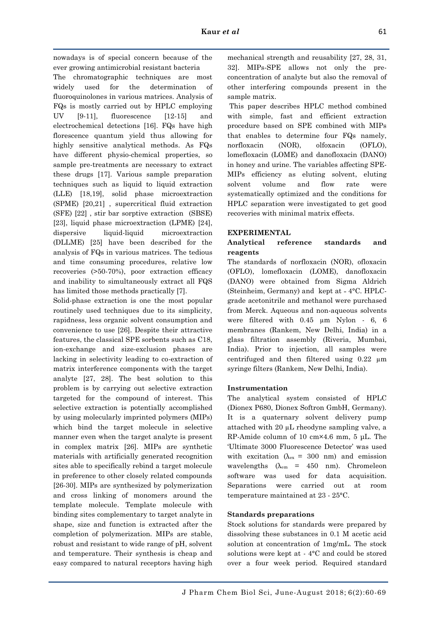nowadays is of special concern because of the ever growing antimicrobial resistant bacteria

The chromatographic techniques are most widely used for the determination of fluoroquinolones in various matrices. Analysis of FQs is mostly carried out by HPLC employing UV [9-11], fluorescence [12-15] and electrochemical detections [16]. FQs have high florescence quantum yield thus allowing for highly sensitive analytical methods. As FQs have different physio-chemical properties, so sample pre-treatments are necessary to extract these drugs [17]. Various sample preparation techniques such as liquid to liquid extraction (LLE) [18,19], solid phase microextraction (SPME) [20,21] , supercritical fluid extraction (SFE) [22] , stir bar sorptive extraction (SBSE) [23], liquid phase microextraction (LPME) [24], dispersive liquid-liquid microextraction (DLLME) [25] have been described for the analysis of FQs in various matrices. The tedious and time consuming procedures, relative low recoveries (>50-70%), poor extraction efficacy and inability to simultaneously extract all FQS has limited those methods practically [7].

Solid-phase extraction is one the most popular routinely used techniques due to its simplicity, rapidness, less organic solvent consumption and convenience to use [26]. Despite their attractive features, the classical SPE sorbents such as C18, ion-exchange and size-exclusion phases are lacking in selectivity leading to co-extraction of matrix interference components with the target analyte [27, 28]. The best solution to this problem is by carrying out selective extraction targeted for the compound of interest. This selective extraction is potentially accomplished by using molecularly imprinted polymers (MIPs) which bind the target molecule in selective manner even when the target analyte is present in complex matrix [26]. MIPs are synthetic materials with artificially generated recognition sites able to specifically rebind a target molecule in preference to other closely related compounds [26-30]. MIPs are synthesized by polymerization and cross linking of monomers around the template molecule. Template molecule with binding sites complementary to target analyte in shape, size and function is extracted after the completion of polymerization. MIPs are stable, robust and resistant to wide range of pH, solvent and temperature. Their synthesis is cheap and easy compared to natural receptors having high

mechanical strength and reusability [27, 28, 31, 32]. MIPs-SPE allows not only the preconcentration of analyte but also the removal of other interfering compounds present in the sample matrix.

This paper describes HPLC method combined with simple, fast and efficient extraction procedure based on SPE combined with MIPs that enables to determine four FQs namely, norfloxacin (NOR), olfoxacin (OFLO), lomefloxacin (LOME) and danofloxacin (DANO) in honey and urine. The variables affecting SPE-MIPs efficiency as eluting solvent, eluting solvent volume and flow rate were systematically optimized and the conditions for HPLC separation were investigated to get good recoveries with minimal matrix effects.

# **EXPERIMENTAL**

# **Analytical reference standards and reagents**

The standards of norfloxacin (NOR), ofloxacin (OFLO), lomefloxacin (LOME), danofloxacin (DANO) were obtained from Sigma Aldrich (Steinheim, Germany) and kept at  $-4$ °C. HPLCgrade acetonitrile and methanol were purchased from Merck. Aqueous and non-aqueous solvents were filtered with 0.45 µm Nylon - 6, 6 membranes (Rankem, New Delhi, India) in a glass filtration assembly (Riveria, Mumbai, India). Prior to injection, all samples were centrifuged and then filtered using 0.22 µm syringe filters (Rankem, New Delhi, India).

# **Instrumentation**

The analytical system consisted of HPLC (Dionex P680, Dionex Softron GmbH, Germany). It is a quaternary solvent delivery pump attached with 20 µL rheodyne sampling valve, a RP-Amide column of 10 cm×4.6 mm, 5 μL. The 'Ultimate 3000 Fluorescence Detector' was used with excitation ( $\lambda_{\text{ex}}$  = 300 nm) and emission wavelengths ( $\lambda_{em}$  = 450 nm). Chromeleon software was used for data acquisition. Separations were carried out at room temperature maintained at 23 - 25°C.

# **Standards preparations**

Stock solutions for standards were prepared by dissolving these substances in 0.1 M acetic acid solution at concentration of 1mg/mL. The stock solutions were kept at - 4°C and could be stored over a four week period. Required standard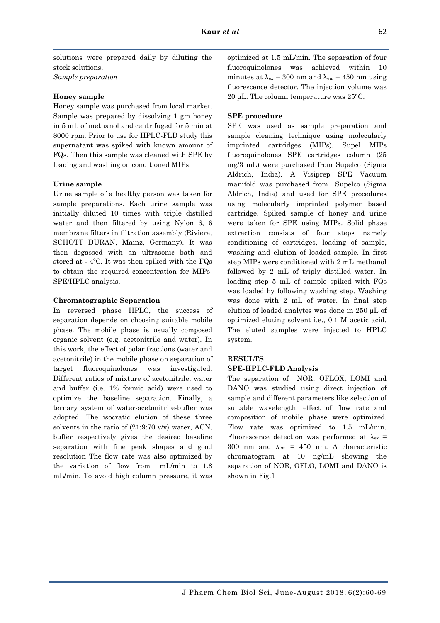solutions were prepared daily by diluting the stock solutions. *Sample preparation*

## **Honey sample**

Honey sample was purchased from local market. Sample was prepared by dissolving 1 gm honey in 5 mL of methanol and centrifuged for 5 min at 8000 rpm. Prior to use for HPLC-FLD study this supernatant was spiked with known amount of FQs. Then this sample was cleaned with SPE by loading and washing on conditioned MIPs.

### **Urine sample**

Urine sample of a healthy person was taken for sample preparations. Each urine sample was initially diluted 10 times with triple distilled water and then filtered by using Nylon 6, 6 membrane filters in filtration assembly (Riviera, SCHOTT DURAN, Mainz, Germany). It was then degassed with an ultrasonic bath and stored at  $-4$ °C. It was then spiked with the FQs to obtain the required concentration for MIPs-SPE/HPLC analysis.

### **Chromatographic Separation**

In reversed phase HPLC, the success of separation depends on choosing suitable mobile phase. The mobile phase is usually composed organic solvent (e.g. acetonitrile and water). In this work, the effect of polar fractions (water and acetonitrile) in the mobile phase on separation of target fluoroquinolones was investigated. Different ratios of mixture of acetonitrile, water and buffer (i.e. 1% formic acid) were used to optimize the baseline separation. Finally, a ternary system of water-acetonitrile-buffer was adopted. The isocratic elution of these three solvents in the ratio of (21:9:70 v/v) water, ACN, buffer respectively gives the desired baseline separation with fine peak shapes and good resolution The flow rate was also optimized by the variation of flow from 1mL/min to 1.8 mL/min. To avoid high column pressure, it was

optimized at 1.5 mL/min. The separation of four fluoroquinolones was achieved within 10 minutes at  $\lambda_{\text{ex}} = 300$  nm and  $\lambda_{\text{em}} = 450$  nm using fluorescence detector. The injection volume was 20 μL. The column temperature was 25°C.

### **SPE procedure**

SPE was used as sample preparation and sample cleaning technique using molecularly imprinted cartridges (MIPs). Supel MIPs fluoroquinolones SPE cartridges column (25 mg/3 mL) were purchased from Supelco (Sigma Aldrich, India). A Visiprep SPE Vacuum manifold was purchased from Supelco (Sigma Aldrich, India) and used for SPE procedures using molecularly imprinted polymer based cartridge. Spiked sample of honey and urine were taken for SPE using MIPs. Solid phase extraction consists of four steps namely conditioning of cartridges, loading of sample, washing and elution of loaded sample. In first step MIPs were conditioned with 2 mL methanol followed by 2 mL of triply distilled water. In loading step 5 mL of sample spiked with FQs was loaded by following washing step. Washing was done with 2 mL of water. In final step elution of loaded analytes was done in 250 µL of optimized eluting solvent i.e., 0.1 M acetic acid. The eluted samples were injected to HPLC system.

## **RESULTS**

### **SPE-HPLC-FLD Analysis**

The separation of NOR, OFLOX, LOMI and DANO was studied using direct injection of sample and different parameters like selection of suitable wavelength, effect of flow rate and composition of mobile phase were optimized. Flow rate was optimized to 1.5 mL/min. Fluorescence detection was performed at  $\lambda_{ex}$  = 300 nm and  $\lambda_{em}$  = 450 nm. A characteristic chromatogram at 10 ng/mL showing the separation of NOR, OFLO, LOMI and DANO is shown in Fig.1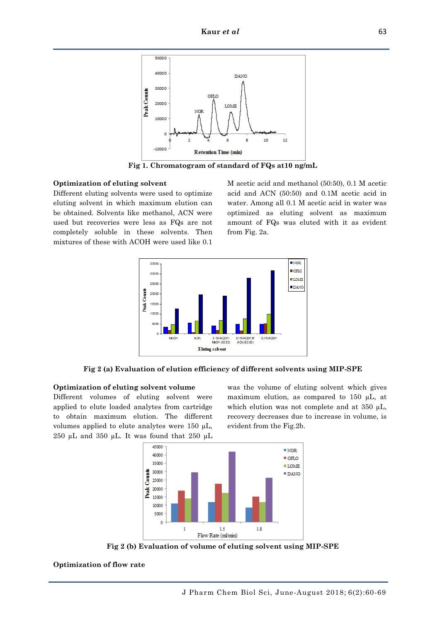

**Fig 1. Chromatogram of standard of FQs at10 ng/mL**

#### **Optimization of eluting solvent**

Different eluting solvents were used to optimize eluting solvent in which maximum elution can be obtained. Solvents like methanol, ACN were used but recoveries were less as FQs are not completely soluble in these solvents. Then mixtures of these with ACOH were used like 0.1

M acetic acid and methanol (50:50), 0.1 M acetic acid and ACN (50:50) and 0.1M acetic acid in water. Among all 0.1 M acetic acid in water was optimized as eluting solvent as maximum amount of FQs was eluted with it as evident from Fig. 2a.



**Fig 2 (a) Evaluation of elution efficiency of different solvents using MIP-SPE**

#### **Optimization of eluting solvent volume**

Different volumes of eluting solvent were applied to elute loaded analytes from cartridge to obtain maximum elution. The different volumes applied to elute analytes were 150 µL, 250  $\mu$ L and 350  $\mu$ L. It was found that 250  $\mu$ L was the volume of eluting solvent which gives maximum elution, as compared to 150 µL, at which elution was not complete and at 350  $\mu$ L, recovery decreases due to increase in volume, is evident from the Fig.2b.



**Fig 2 (b) Evaluation of volume of eluting solvent using MIP-SPE**

#### **Optimization of flow rate**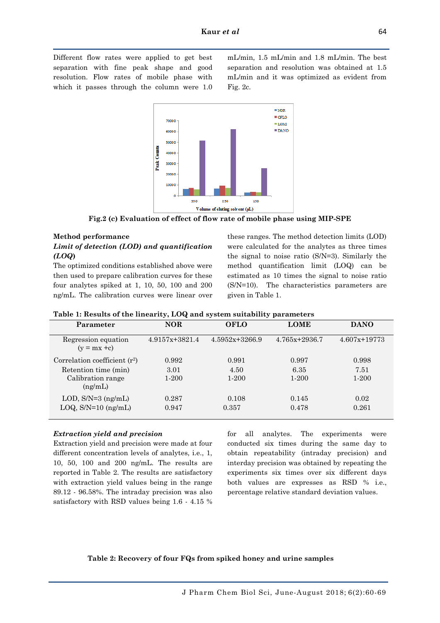Different flow rates were applied to get best separation with fine peak shape and good resolution. Flow rates of mobile phase with which it passes through the column were 1.0 mL/min, 1.5 mL/min and 1.8 mL/min. The best separation and resolution was obtained at 1.5 mL/min and it was optimized as evident from Fig. 2c.



**Fig.2 (c) Evaluation of effect of flow rate of mobile phase using MIP-SPE**

# **Method performance**

## *Limit of detection (LOD) and quantification (LOQ***)**

The optimized conditions established above were then used to prepare calibration curves for these four analytes spiked at 1, 10, 50, 100 and 200 ng/mL. The calibration curves were linear over these ranges. The method detection limits (LOD) were calculated for the analytes as three times the signal to noise ratio (S/N=3). Similarly the method quantification limit (LOQ) can be estimated as 10 times the signal to noise ratio (S/N=10). The characteristics parameters are given in Table 1.

| Parameter                             | <b>NOR</b>         | <b>OFLO</b>      | <b>LOME</b>       | <b>DANO</b>      |
|---------------------------------------|--------------------|------------------|-------------------|------------------|
| Regression equation<br>$(y = mx + c)$ | $4.9157x + 3821.4$ | $4.5952x+3266.9$ | $4.765x + 2936.7$ | $4.607x + 19773$ |
| Correlation coefficient $(r^2)$       | 0.992              | 0.991            | 0.997             | 0.998            |
| Retention time (min)                  | 3.01               | 4.50             | 6.35              | 7.51             |
| Calibration range<br>(ng/mL)          | $1 - 200$          | $1 - 200$        | $1 - 200$         | $1-200$          |
| LOD, $S/N=3$ (ng/mL)                  | 0.287              | 0.108            | 0.145             | 0.02             |
| $LOQ$ , $S/N=10$ (ng/mL)              | 0.947              | 0.357            | 0.478             | 0.261            |

**Table 1: Results of the linearity, LOQ and system suitability parameters**

## *Extraction yield and precision*

Extraction yield and precision were made at four different concentration levels of analytes, i.e., 1, 10, 50, 100 and 200 ng/mL. The results are reported in Table 2. The results are satisfactory with extraction yield values being in the range 89.12 - 96.58%. The intraday precision was also satisfactory with RSD values being 1.6 - 4.15 % for all analytes. The experiments were conducted six times during the same day to obtain repeatability (intraday precision) and interday precision was obtained by repeating the experiments six times over six different days both values are expresses as RSD % i.e., percentage relative standard deviation values.

## **Table 2: Recovery of four FQs from spiked honey and urine samples**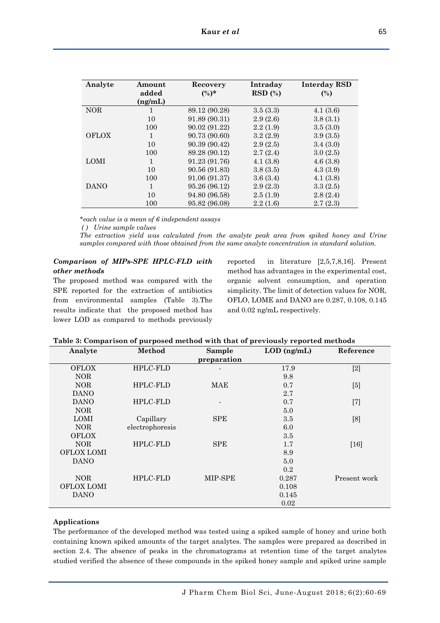| Analyte      | Amount<br>added<br>(ng/mL) | Recovery<br>$(\%)^*$ | Intraday<br>$RSD(\%)$ | <b>Interday RSD</b><br>(%) |
|--------------|----------------------------|----------------------|-----------------------|----------------------------|
| <b>NOR</b>   | 1                          | 89.12 (90.28)        | 3.5(3.3)              | 4.1(3.6)                   |
|              | 10                         | 91.89 (90.31)        | 2.9(2.6)              | 3.8(3.1)                   |
|              | 100                        | 90.02 (91.22)        | 2.2(1.9)              | 3.5(3.0)                   |
| <b>OFLOX</b> |                            | 90.73 (90.60)        | 3.2(2.9)              | 3.9(3.5)                   |
|              | 10                         | 90.39 (90.42)        | 2.9(2.5)              | 3.4(3.0)                   |
|              | 100                        | 89.28 (90.12)        | 2.7(2.4)              | 3.0(2.5)                   |
| <b>LOMI</b>  | $\mathbf{1}$               | 91.23 (91.76)        | 4.1(3.8)              | 4.6(3.8)                   |
|              | 10                         | 90.56 (91.83)        | 3.8(3.5)              | 4.3(3.9)                   |
|              | 100                        | 91.06 (91.37)        | 3.6(3.4)              | 4.1(3.8)                   |
| <b>DANO</b>  | 1                          | 95.26 (96.12)        | 2.9(2.3)              | 3.3(2.5)                   |
|              | 10                         | 94.80 (96.58)        | 2.5(1.9)              | 2.8(2.4)                   |
|              | 100                        | 95.82 (96.08)        | 2.2(1.6)              | 2.7(2.3)                   |

*\*each value is a mean of 6 independent assays*

*( ) Urine sample values*

*The extraction yield was calculated from the analyte peak area from spiked honey and Urine samples compared with those obtained from the same analyte concentration in standard solution.*

# *Comparison of MIPs-SPE HPLC-FLD with other methods*

The proposed method was compared with the SPE reported for the extraction of antibiotics from environmental samples (Table 3).The results indicate that the proposed method has lower LOD as compared to methods previously reported in literature [2,5,7,8,16]. Present method has advantages in the experimental cost, organic solvent consumption, and operation simplicity. The limit of detection values for NOR, OFLO, LOME and DANO are 0.287, 0.108, 0.145 and 0.02 ng/mL respectively.

| Table 3: Comparison of purposed method with that of previously reported methods |  |
|---------------------------------------------------------------------------------|--|
|                                                                                 |  |

| Analyte           | Method          | Sample                   | $LOD$ (ng/mL) | Reference    |
|-------------------|-----------------|--------------------------|---------------|--------------|
|                   |                 | preparation              |               |              |
| <b>OFLOX</b>      | <b>HPLC-FLD</b> |                          | 17.9          | $[2]$        |
| <b>NOR</b>        |                 |                          | 9.8           |              |
| <b>NOR</b>        | <b>HPLC-FLD</b> | MAE                      | 0.7           | [5]          |
| <b>DANO</b>       |                 |                          | 2.7           |              |
| <b>DANO</b>       | <b>HPLC-FLD</b> | $\overline{\phantom{a}}$ | 0.7           | $[7]$        |
| <b>NOR</b>        |                 |                          | 5.0           |              |
| <b>LOMI</b>       | Capillary       | <b>SPE</b>               | 3.5           | [8]          |
| <b>NOR</b>        | electrophoresis |                          | 6.0           |              |
| <b>OFLOX</b>      |                 |                          | 3.5           |              |
| <b>NOR</b>        | <b>HPLC-FLD</b> | <b>SPE</b>               | 1.7           | $[16]$       |
| <b>OFLOX LOMI</b> |                 |                          | 8.9           |              |
| <b>DANO</b>       |                 |                          | 5.0           |              |
|                   |                 |                          | 0.2           |              |
| <b>NOR</b>        | <b>HPLC-FLD</b> | MIP-SPE                  | 0.287         | Present work |
| <b>OFLOX LOMI</b> |                 |                          | 0.108         |              |
| <b>DANO</b>       |                 |                          | 0.145         |              |
|                   |                 |                          | 0.02          |              |

## **Applications**

The performance of the developed method was tested using a spiked sample of honey and urine both containing known spiked amounts of the target analytes. The samples were prepared as described in section 2.4. The absence of peaks in the chromatograms at retention time of the target analytes studied verified the absence of these compounds in the spiked honey sample and spiked urine sample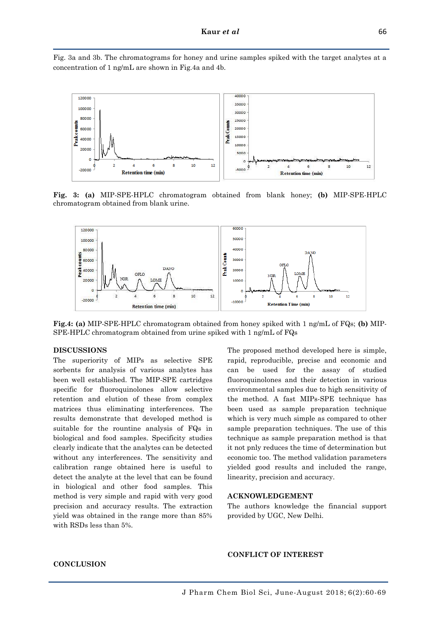Fig. 3a and 3b. The chromatograms for honey and urine samples spiked with the target analytes at a concentration of 1 ng/mL are shown in Fig.4a and 4b.



**Fig. 3: (a)** MIP-SPE-HPLC chromatogram obtained from blank honey; **(b)** MIP-SPE-HPLC chromatogram obtained from blank urine.



**Fig.4: (a)** MIP-SPE-HPLC chromatogram obtained from honey spiked with 1 ng/mL of FQs; **(b)** MIP-SPE-HPLC chromatogram obtained from urine spiked with 1 ng/mL of FQs

### **DISCUSSIONS**

The superiority of MIPs as selective SPE sorbents for analysis of various analytes has been well established. The MIP-SPE cartridges specific for fluoroquinolones allow selective retention and elution of these from complex matrices thus eliminating interferences. The results demonstrate that developed method is suitable for the rountine analysis of FQs in biological and food samples. Specificity studies clearly indicate that the analytes can be detected without any interferences. The sensitivity and calibration range obtained here is useful to detect the analyte at the level that can be found in biological and other food samples. This method is very simple and rapid with very good precision and accuracy results. The extraction yield was obtained in the range more than 85% with RSDs less than 5%.

The proposed method developed here is simple, rapid, reproducible, precise and economic and can be used for the assay of studied fluoroquinolones and their detection in various environmental samples due to high sensitivity of the method. A fast MIPs-SPE technique has been used as sample preparation technique which is very much simple as compared to other sample preparation techniques. The use of this technique as sample preparation method is that it not pnly reduces the time of determination but economic too. The method validation parameters yielded good results and included the range, linearity, precision and accuracy.

#### **ACKNOWLEDGEMENT**

The authors knowledge the financial support provided by UGC, New Delhi.

## **CONFLICT OF INTEREST**

# **CONCLUSION**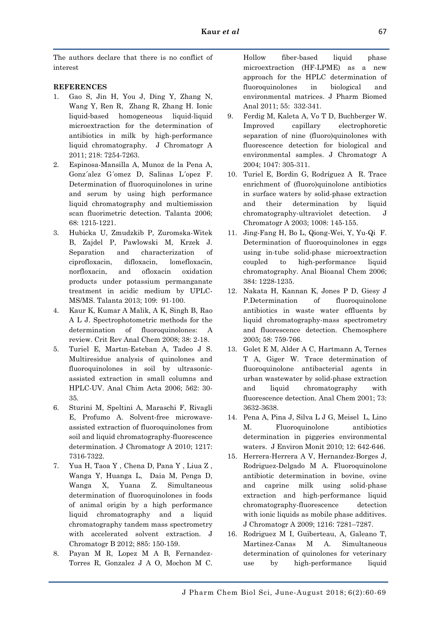The authors declare that there is no conflict of interest

# **REFERENCES**

- 1. Gao S, Jin H, You J, Ding Y, Zhang N, Wang Y, Ren R, Zhang R, Zhang H. Ionic liquid-based homogeneous liquid-liquid microextraction for the determination of antibiotics in milk by high-performance liquid chromatography. J Chromatogr A 2011; 218: 7254-7263.
- 2. Espinosa-Mansilla A, Munoz de la Pena A, Gonz´alez G´omez D, Salinas L´opez F. Determination of fluoroquinolones in urine and serum by using high performance liquid chromatography and multiemission scan fluorimetric detection. Talanta 2006; 68: 1215-1221.
- 3. Hubicka U, Zmudzkib P, Zuromska-Witek B, Zajdel P, Pawlowski M, Krzek J. Separation and characterization of ciprofloxacin, difloxacin, lomefloxacin, norfloxacin, and ofloxacin oxidation products under potassium permanganate treatment in acidic medium by UPLC-MS/MS. Talanta 2013; 109: 91-100.
- 4. Kaur K, Kumar A Malik, A K, Singh B, Rao A L J. Spectrophotometric methods for the determination of fluoroquinolones: A review. Crit Rev Anal Chem 2008; 38: 2-18.
- 5. Turiel E, Martın-Esteban A, Tadeo J S. Multiresidue analysis of quinolones and fluoroquinolones in soil by ultrasonicassisted extraction in small columns and HPLC-UV. Anal Chim Acta 2006; 562: 30- 35.
- 6. Sturini M, Speltini A, Maraschi F, Rivagli E, Profumo A. Solvent-free microwaveassisted extraction of fluoroquinolones from soil and liquid chromatography-fluorescence determination. J Chromatogr A 2010; 1217: 7316-7322.
- 7. Yua H, Taoa Y , Chena D, Pana Y , Liua Z , Wanga Y, Huanga L, Daia M, Penga D, Wanga X, Yuana Z. Simultaneous determination of fluoroquinolones in foods of animal origin by a high performance liquid chromatography and a liquid chromatography tandem mass spectrometry with accelerated solvent extraction. J Chromatogr B 2012; 885: 150-159.
- 8. Payan M R, Lopez M A B, Fernandez-Torres R, Gonzalez J A O, Mochon M C.

Hollow fiber-based liquid phase microextraction (HF-LPME) as a new approach for the HPLC determination of fluoroquinolones in biological and environmental matrices. J Pharm Biomed Anal 2011; 55: 332-341.

- 9. Ferdig M, Kaleta A, Vo T D, Buchberger W. Improved capillary electrophoretic separation of nine (fluoro)quinolones with fluorescence detection for biological and environmental samples. J Chromatogr A 2004; 1047: 305-311.
- 10. Turiel E, Bordin G, Rodríguez A R. Trace enrichment of (fluoro)quinolone antibiotics in surface waters by solid-phase extraction and their determination by liquid chromatography-ultraviolet detection. J Chromatogr A 2003; 1008: 145-155.
- 11. Jing-Fang H, Bo L, Qiong-Wei, Y, Yu-Qi F. Determination of fluoroquinolones in eggs using in-tube solid-phase microextraction coupled to high-performance liquid chromatography. Anal Bioanal Chem 2006; 384: 1228-1235.
- 12. Nakata H, Kannan K, Jones P D, Giesy J P.Determination of fluoroquinolone antibiotics in waste water effluents by liquid chromatography-mass spectrometry and fluorescence detection. Chemosphere 2005; 58: 759-766.
- 13. Golet E M, Alder A C, Hartmann A, Ternes T A, Giger W. Trace determination of fluoroquinolone antibacterial agents in urban wastewater by solid-phase extraction and liquid chromatography with fluorescence detection. Anal Chem 2001; 73: 3632-3638.
- 14. Pena A, Pina J, Silva L J G, Meisel L, Lino M. Fluoroquinolone antibiotics determination in piggeries environmental waters. J Environ Monit 2010; 12: 642-646.
- 15. Herrera-Herrera A V, Hernandez-Borges J, Rodriguez-Delgado M A. Fluoroquinolone antibiotic determination in bovine, ovine and caprine milk using solid-phase extraction and high-performance liquid chromatography-fluorescence detection with ionic liquids as mobile phase additives. J Chromatogr A 2009; 1216: 7281–7287.
- 16. Rodriguez M I, Guiberteau, A, Galeano T, Martinez-Canas M A. Simultaneous determination of quinolones for veterinary use by high-performance liquid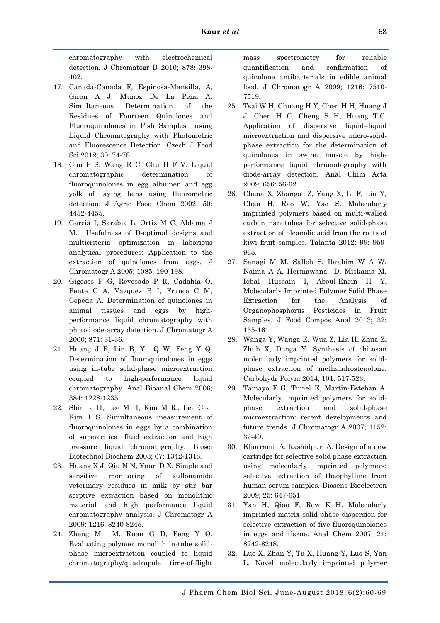chromatography with electrochemical detection**.** J Chromatogr B 2010; 878**:** 398- 402.

- 17. Canada-Canada F, Espinosa-Mansilla, A, Giron A J, Munoz De La Pena A. Simultaneous Determination of the Residues of Fourteen Quinolones and Fluoroquinolones in Fish Samples using Liquid Chromatography with Photometric and Fluorescence Detection. Czech J Food Sci 2012; 30: 74-78.
- 18. Chu P S, Wang R C, Chu H F V. Liquid chromatographic determination of fluoroquinolones in egg albumen and egg yolk of laying hens using fluorometric detection. J Agric Food Chem 2002; 50: 4452-4455.
- 19. Garcia I, Sarabia L, Ortiz M C, Aldama J M. Usefulness of D-optimal designs and multicriteria optimization in laborious analytical procedures: Application to the extraction of quinolones from eggs. J Chromatogr A 2005; 1085: 190-198.
- 20. Gigosos P G, Revesado P R, Cadahia O, Fente C A, Vazquez B I, Franco C M, Cepeda A. Determination of quinolones in animal tissues and eggs by highperformance liquid chromatography with photodiode-array detection. J Chromatogr A 2000; 871: 31-36.
- 21. Huang J F, Lin B, Yu Q W, Feng Y Q. Determination of fluoroquinolones in eggs using in-tube solid-phase microextraction coupled to high-performance liquid chromatography. Anal Bioanal Chem 2006; 384: 1228-1235.
- 22. Shim J H, Lee M H, Kim M R., Lee C J, Kim I S. Simultaneous measurement of fluoroquinolones in eggs by a combination of supercritical fluid extraction and high pressure liquid chromatography. Biosci Biotechnol Biochem 2003; 67: 1342-1348.
- 23. Huang X J, Qiu N N, Yuan D X. Simple and sensitive monitoring of sulfonamide veterinary residues in milk by stir bar sorptive extraction based on monolithic material and high performance liquid chromatography analysis. J Chromatogr A 2009; 1216: 8240-8245.
- 24. Zheng M M, Ruan G D, Feng Y Q. Evaluating polymer monolith in-tube solidphase microextraction coupled to liquid chromatography/quadrupole time-of-flight

mass spectrometry for reliable quantification and confirmation of quinolone antibacterials in edible animal food. J Chromatogr A 2009; 1216: 7510- 7519.

- 25. Tsai W H, Chuang H Y, Chen H H, Huang J J, Chen H C, Cheng S H, Huang T.C. Application of dispersive liquid–liquid microextraction and dispersive micro-solidphase extraction for the determination of quinolones in swine muscle by highperformance liquid chromatography with diode-array detection. Anal Chim Acta 2009; 656: 56-62.
- 26. Chena X, Zhanga Z, Yang X, Li F, Liu Y, Chen H, Rao W, Yao S. Molecularly imprinted polymers based on multi-walled carbon nanotubes for selective solid-phase extraction of oleanolic acid from the roots of kiwi fruit samples. Talanta 2012; 99: 959- 965.
- 27. Sanagi M M, Salleh S, Ibrahim W A W, Naima A A, Hermawana D, Miskama M, Iqbal Hussain I, Aboul-Enein H Y. Molecularly Imprinted Polymer Solid Phase Extraction for the Analysis of Organophosphorus Pesticides in Fruit Samples. J Food Compos Anal 2013; 32: 155-161.
- 28. Wanga Y, Wanga E, Wua Z, Lia H, Zhua Z, Zhub X, Donga Y. Synthesis of chitosan molecularly imprinted polymers for solidphase extraction of methandrostenolone. Carbohydr Polym 2014; 101: 517-523.
- 29. Tamayo F G, Turiel E, Martin-Esteban A. Molecularly imprinted polymers for solidphase extraction and solid-phase microextraction: recent developments and future trends. J Chromatogr A 2007; 1152: 32-40.
- 30. Khorrami A, Rashidpur A. Design of a new cartridge for selective solid phase extraction using molecularly imprinted polymers: selective extraction of theophylline from human serum samples. Biosens Bioelectron 2009; 25: 647-651.
- 31. Yan H, Qiao F, Row K H. Molecularly imprinted-matrix solid-phase dispersion for selective extraction of five fluoroquinolones in eggs and tissue. Anal Chem 2007; 21: 8242-8248.
- 32. Luo X, Zhan Y, Tu X, Huang Y, Luo S, Yan L. Novel molecularly imprinted polymer